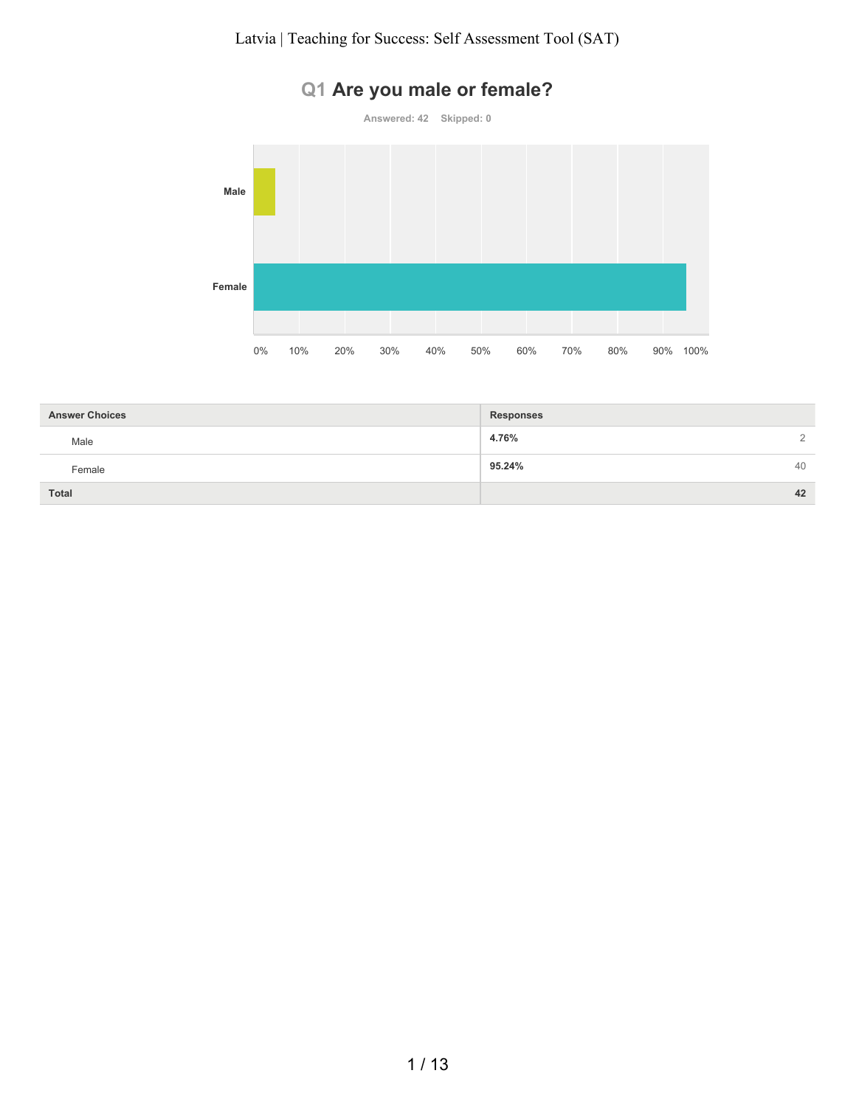# **Q1 Are you male or female?**



0% 10% 20% 30% 40% 50% 60% 70% 80% 90% 100%

| <b>Answer Choices</b> | <b>Responses</b> |                |
|-----------------------|------------------|----------------|
| Male                  | 4.76%            | $\overline{2}$ |
| Female                | 95.24%           | 40             |
| Total                 |                  | 42             |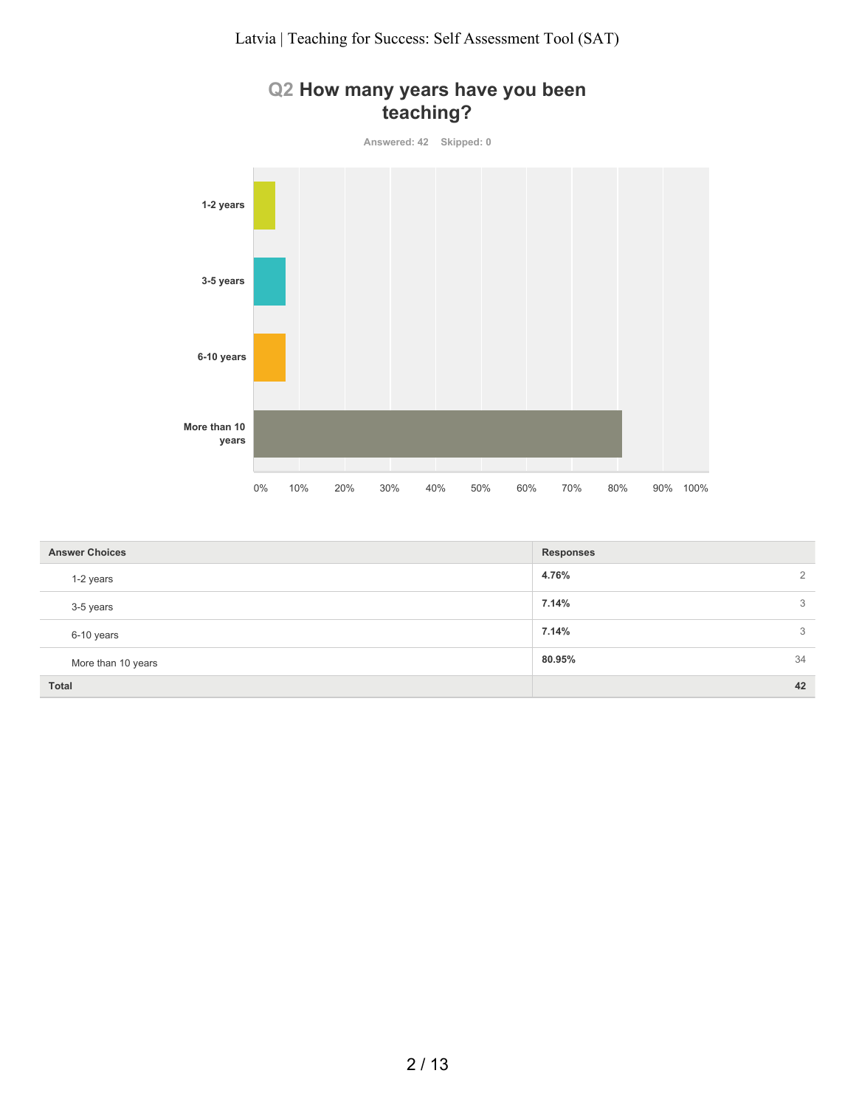#### **Q2 How many years have you been teaching?**



| <b>Answer Choices</b> | <b>Responses</b>        |
|-----------------------|-------------------------|
| 1-2 years             | $\overline{2}$<br>4.76% |
| 3-5 years             | 7.14%<br>3              |
| 6-10 years            | 7.14%<br>3              |
| More than 10 years    | 34<br>80.95%            |
| <b>Total</b>          | 42                      |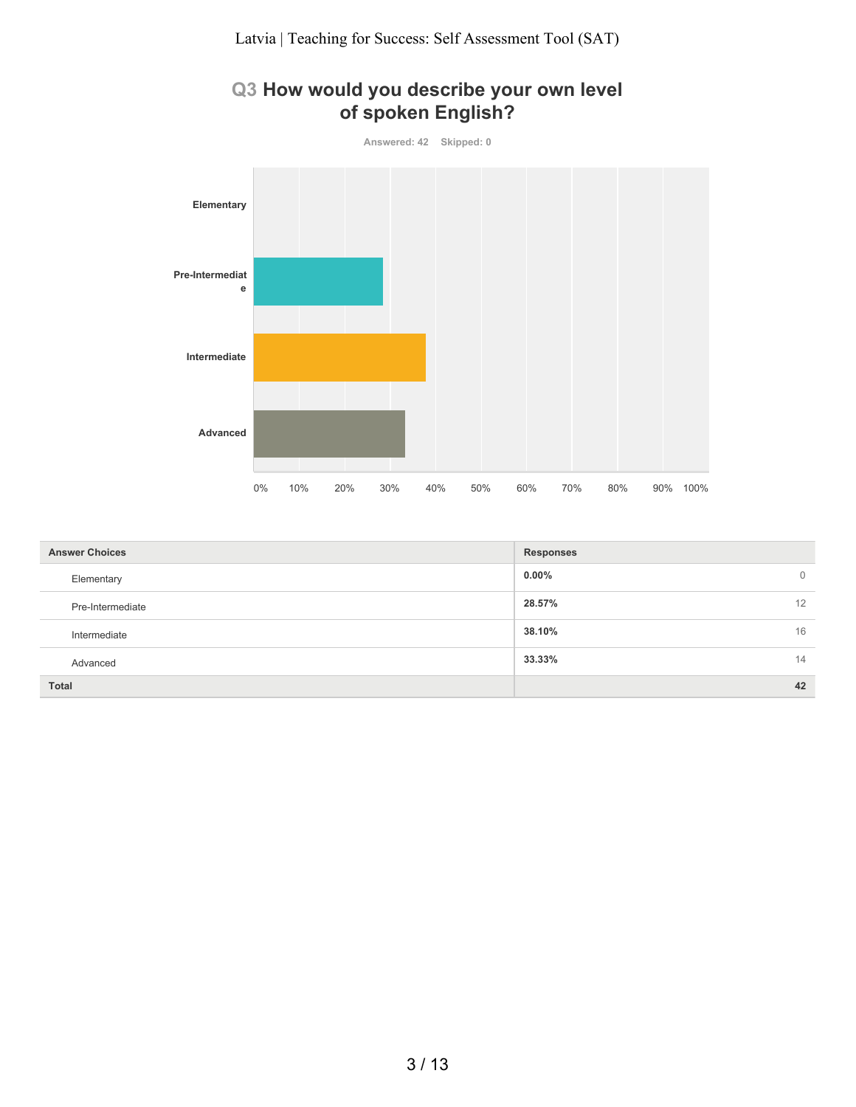## **Q3 How would you describe your own level of spoken English?**



| <b>Answer Choices</b> | <b>Responses</b> |                |
|-----------------------|------------------|----------------|
| Elementary            | $0.00\%$         | $\overline{0}$ |
| Pre-Intermediate      | 28.57%           | 12             |
| Intermediate          | 38.10%           | 16             |
| Advanced              | 33.33%           | 14             |
| <b>Total</b>          |                  | 42             |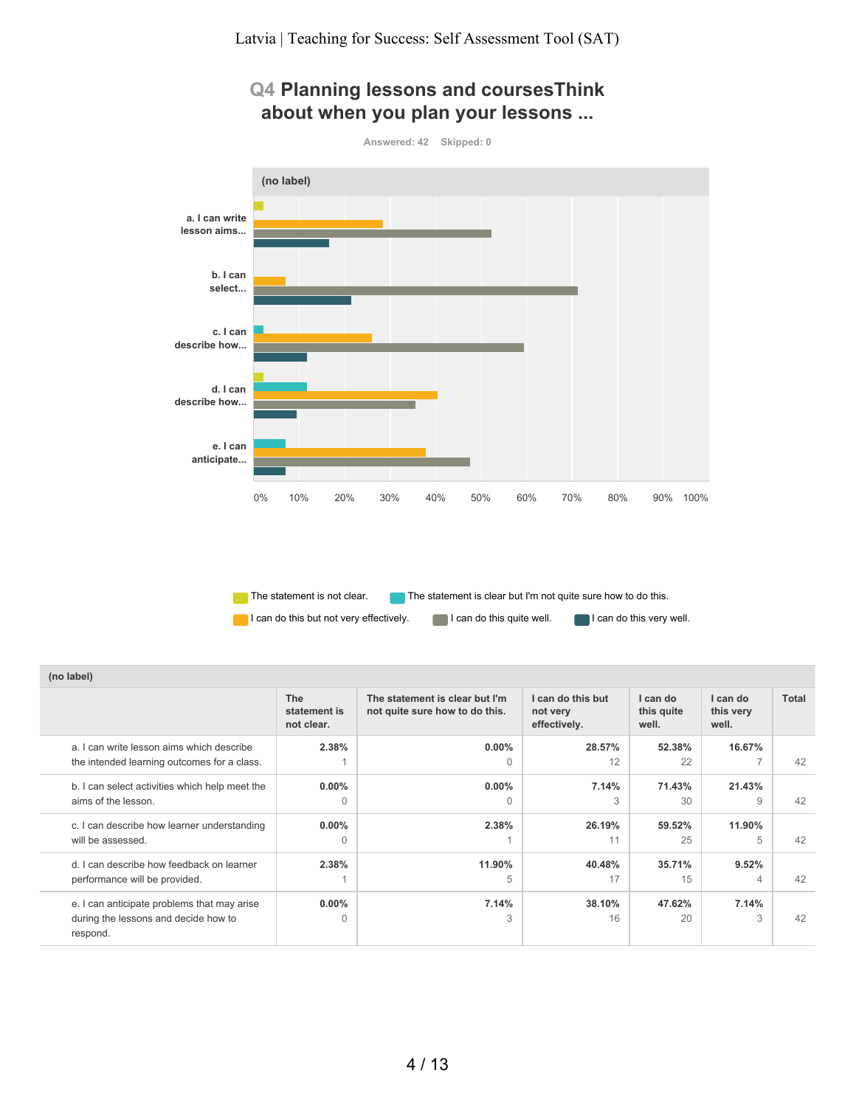## **Q4 Planning lessons and coursesThink about when you plan your lessons ...**



The statement is not clear.  $\Box$  The statement is clear but I'm not quite sure how to do this. I can do this but not very effectively. I can do this quite well. I can do this very well.

| (no label)                                                                                      |                                          |                                                                  |                                               |                                 |                                |              |
|-------------------------------------------------------------------------------------------------|------------------------------------------|------------------------------------------------------------------|-----------------------------------------------|---------------------------------|--------------------------------|--------------|
|                                                                                                 | <b>The</b><br>statement is<br>not clear. | The statement is clear but I'm<br>not quite sure how to do this. | I can do this but<br>not very<br>effectively. | I can do<br>this quite<br>well. | I can do<br>this very<br>well. | <b>Total</b> |
| a. I can write lesson aims which describe<br>the intended learning outcomes for a class.        | 2.38%                                    | $0.00\%$<br>$\Omega$                                             | 28.57%<br>12                                  | 52.38%<br>22                    | 16.67%<br>$\rightarrow$        | 42           |
| b. I can select activities which help meet the<br>aims of the lesson.                           | $0.00\%$<br>$\Omega$                     | $0.00\%$<br>$\Omega$                                             | 7.14%<br>3                                    | 71.43%<br>30                    | 21.43%<br>9                    | 42           |
| c. I can describe how learner understanding<br>will be assessed.                                | $0.00\%$<br>$\Omega$                     | 2.38%                                                            | 26.19%<br>11                                  | 59.52%<br>25                    | 11.90%<br>5                    | 42           |
| d. I can describe how feedback on learner<br>performance will be provided.                      | 2.38%                                    | 11.90%<br>5                                                      | 40.48%<br>17                                  | 35.71%<br>1.5                   | 9.52%<br>4                     | 42           |
| e. I can anticipate problems that may arise<br>during the lessons and decide how to<br>respond. | $0.00\%$<br>0                            | 7.14%<br>3                                                       | 38.10%<br>16                                  | 47.62%<br>20                    | 7.14%<br>3                     | 42           |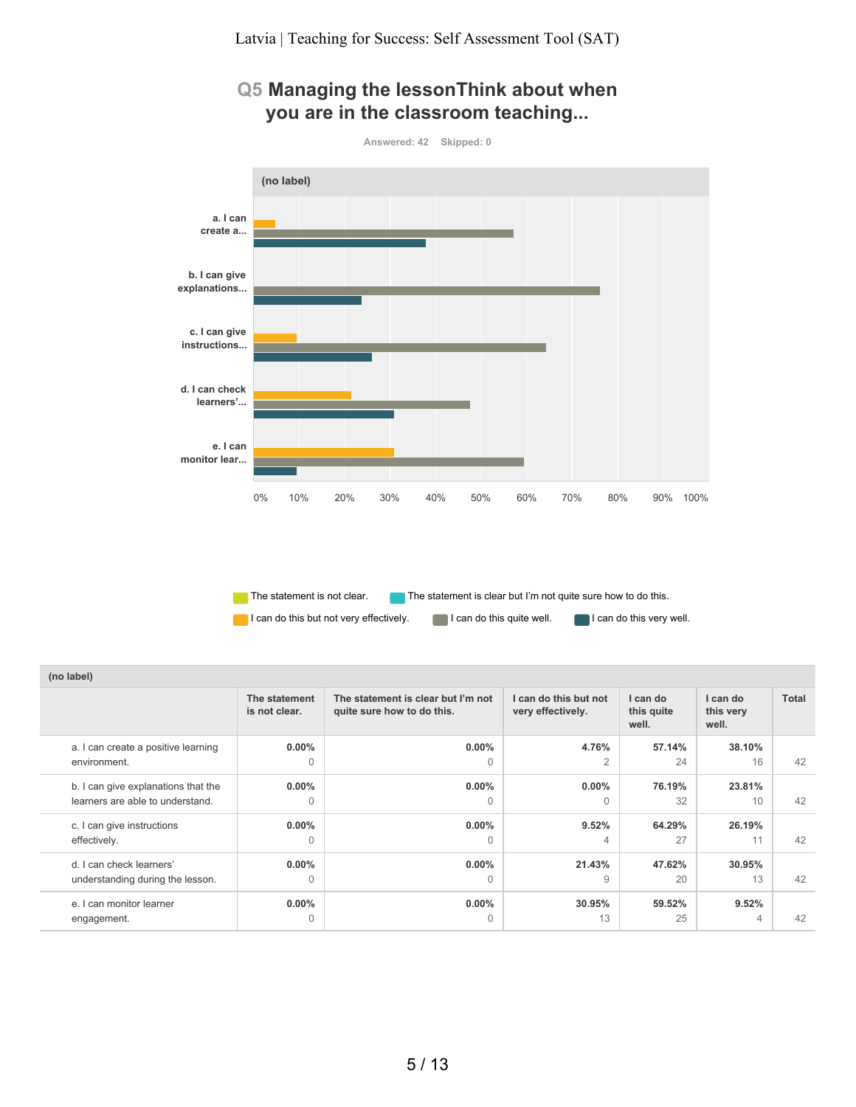#### **Q5 Managing the lessonThink about when you are in the classroom teaching...**



The statement is not clear.  $\Box$  The statement is clear but I'm not quite sure how to do this. I can do this but not very effectively. I can do this quite well. I can do this very well.

| (no label)                              |                                |                                                                  |                                            |                                 |                                |       |
|-----------------------------------------|--------------------------------|------------------------------------------------------------------|--------------------------------------------|---------------------------------|--------------------------------|-------|
|                                         | The statement<br>is not clear. | The statement is clear but I'm not<br>quite sure how to do this. | I can do this but not<br>very effectively. | I can do<br>this quite<br>well. | I can do<br>this very<br>well. | Total |
| a. I can create a positive learning     | $0.00\%$                       | $0.00\%$                                                         | 4.76%                                      | 57.14%                          | 38.10%                         | 42    |
| environment.                            | $\Omega$                       | 0                                                                | $\overline{2}$                             | 24                              | 16                             |       |
| b. I can give explanations that the     | $0.00\%$                       | $0.00\%$                                                         | $0.00\%$                                   | 76.19%                          | 23.81%                         | 42    |
| learners are able to understand.        | 0                              | O                                                                | $\Omega$                                   | 32                              | 10                             |       |
| c. I can give instructions              | $0.00\%$                       | $0.00\%$                                                         | 9.52%                                      | 64.29%                          | 26.19%                         | 42    |
| effectively.                            | 0                              | 0                                                                | 4                                          | 27                              | 11                             |       |
| d. I can check learners'                | $0.00\%$                       | $0.00\%$                                                         | 21.43%                                     | 47.62%                          | 30.95%                         | 42    |
| understanding during the lesson.        | $\Omega$                       | $\Omega$                                                         | 9                                          | 20                              | 13                             |       |
| e. I can monitor learner<br>engagement. | $0.00\%$<br>$\Omega$           | $0.00\%$                                                         | 30.95%<br>13                               | 59.52%<br>25                    | 9.52%<br>4                     | 42    |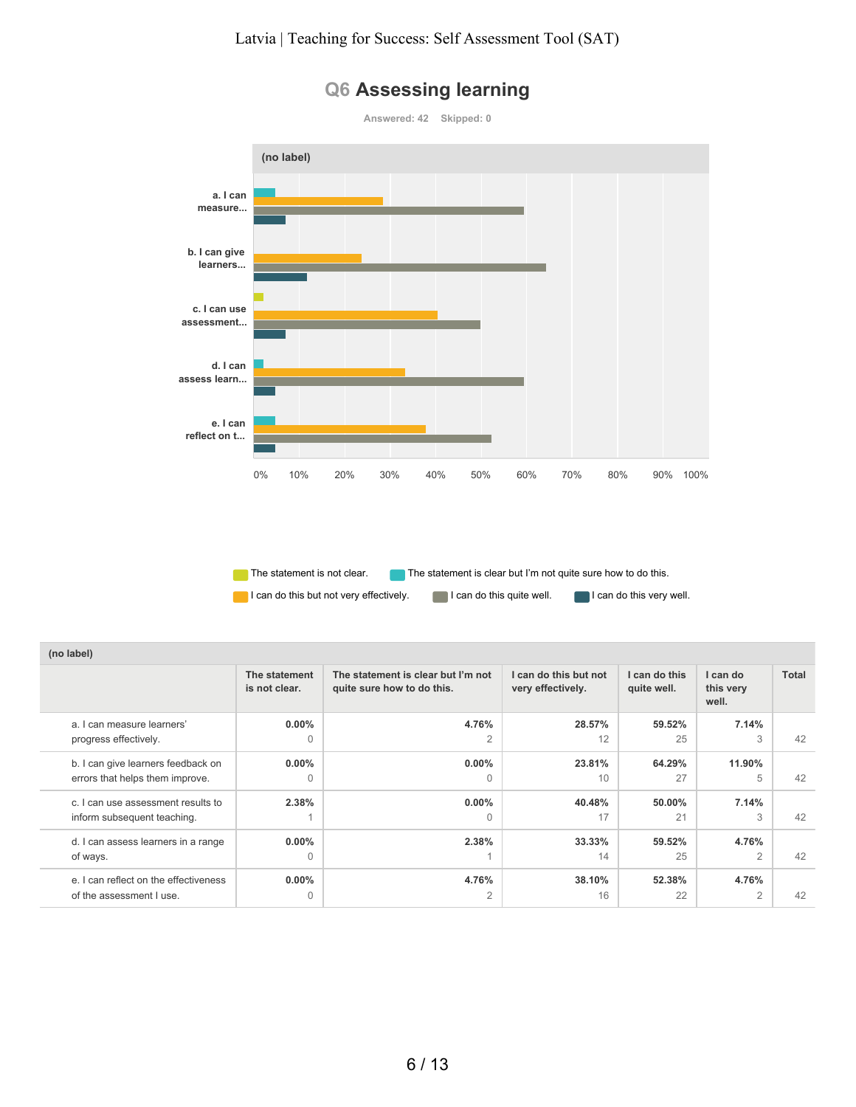

### **Q6 Assessing learning**

The statement is not clear. The statement is clear but I'm not quite sure how to do this.

| (no label)                            |                                |                                                                  |                                            |                              |                                |       |
|---------------------------------------|--------------------------------|------------------------------------------------------------------|--------------------------------------------|------------------------------|--------------------------------|-------|
|                                       | The statement<br>is not clear. | The statement is clear but I'm not<br>quite sure how to do this. | I can do this but not<br>very effectively. | I can do this<br>quite well. | I can do<br>this very<br>well. | Total |
| a. I can measure learners'            | $0.00\%$                       | 4.76%                                                            | 28.57%                                     | 59.52%                       | 7.14%                          |       |
| progress effectively.                 | $\Omega$                       | 2                                                                | 12                                         | 25                           | 3                              | 42    |
| b. I can give learners feedback on    | $0.00\%$                       | $0.00\%$                                                         | 23.81%                                     | 64.29%                       | 11.90%                         |       |
| errors that helps them improve.       | $\Omega$                       | $\Omega$                                                         | 10                                         | 27                           | 5                              | 42    |
| c. I can use assessment results to    | 2.38%                          | $0.00\%$                                                         | 40.48%                                     | 50.00%                       | 7.14%                          |       |
| inform subsequent teaching.           |                                | $\Omega$                                                         | 17                                         | 21                           | 3                              | 42    |
| d. I can assess learners in a range   | $0.00\%$                       | 2.38%                                                            | 33.33%                                     | 59.52%                       | 4.76%                          |       |
| of ways.                              | $\Omega$                       |                                                                  | 14                                         | 25                           | $\overline{2}$                 | 42    |
| e. I can reflect on the effectiveness | $0.00\%$                       | 4.76%                                                            | 38.10%                                     | 52.38%                       | 4.76%                          |       |
| of the assessment I use.              | $\mathbf 0$                    | 2                                                                | 16                                         | 22                           | 2                              | 42    |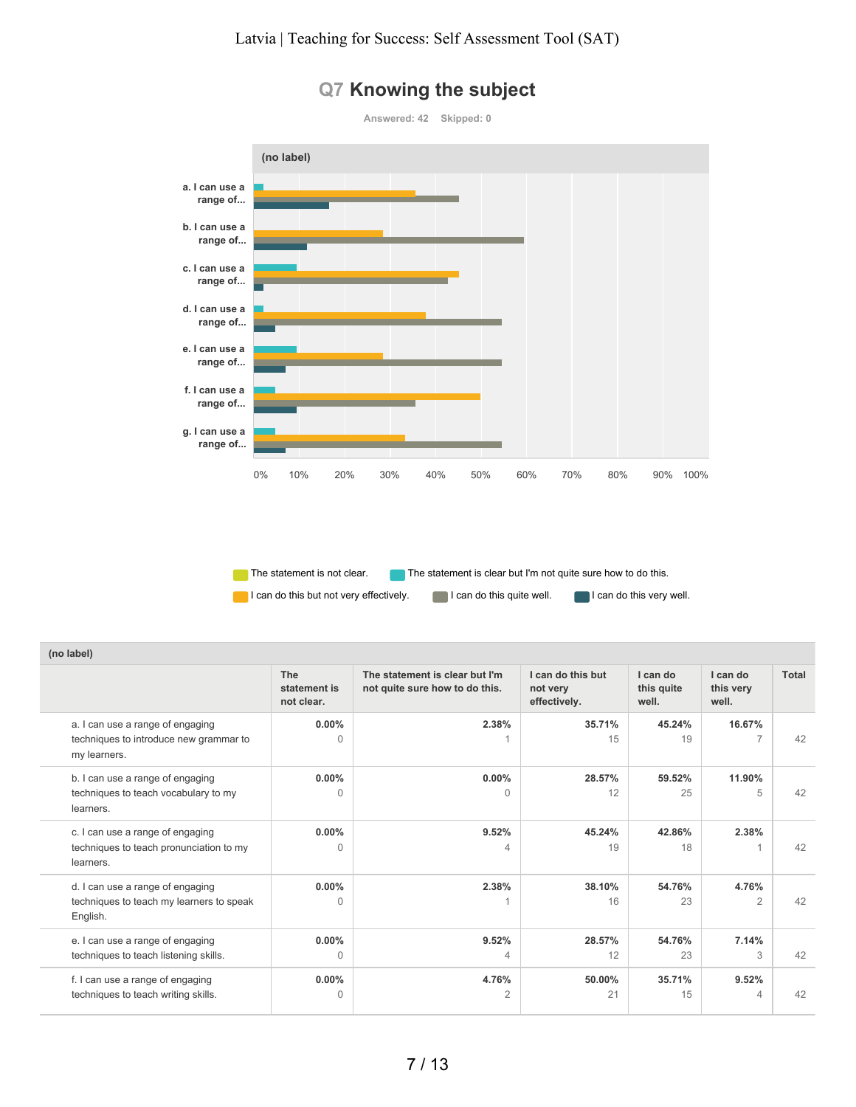

#### **Q7 Knowing the subject**

The statement is not clear. The statement is clear but I'm not quite sure how to do this.

| $\mathbf{u}$                                                                               |                                   |                                                                  |                                               |                                 |                                |       |
|--------------------------------------------------------------------------------------------|-----------------------------------|------------------------------------------------------------------|-----------------------------------------------|---------------------------------|--------------------------------|-------|
|                                                                                            | The<br>statement is<br>not clear. | The statement is clear but I'm<br>not quite sure how to do this. | I can do this but<br>not very<br>effectively. | I can do<br>this quite<br>well. | I can do<br>this very<br>well. | Total |
| a. I can use a range of engaging<br>techniques to introduce new grammar to<br>my learners. | $0.00\%$<br>$\Omega$              | 2.38%                                                            | 35.71%<br>15                                  | 45.24%<br>19                    | 16.67%                         | 42    |
| b. I can use a range of engaging<br>techniques to teach vocabulary to my<br>learners.      | $0.00\%$<br>$\Omega$              | $0.00\%$<br>0                                                    | 28.57%<br>12                                  | 59.52%<br>25                    | 11.90%<br>5                    | 42    |
| c. I can use a range of engaging<br>techniques to teach pronunciation to my<br>learners.   | $0.00\%$<br>$\Omega$              | 9.52%<br>4                                                       | 45.24%<br>19                                  | 42.86%<br>18                    | 2.38%                          | 42    |
| d. I can use a range of engaging<br>techniques to teach my learners to speak<br>English.   | $0.00\%$<br>$\Omega$              | 2.38%                                                            | 38.10%<br>16                                  | 54.76%<br>23                    | 4.76%<br>$\overline{2}$        | 42    |
| e. I can use a range of engaging<br>techniques to teach listening skills.                  | $0.00\%$<br>0                     | 9.52%<br>4                                                       | 28.57%<br>12                                  | 54.76%<br>23                    | 7.14%<br>3                     | 42    |
| f. I can use a range of engaging<br>techniques to teach writing skills.                    | $0.00\%$<br>0                     | 4.76%<br>2                                                       | 50.00%<br>21                                  | 35.71%<br>15                    | 9.52%<br>4                     | 42    |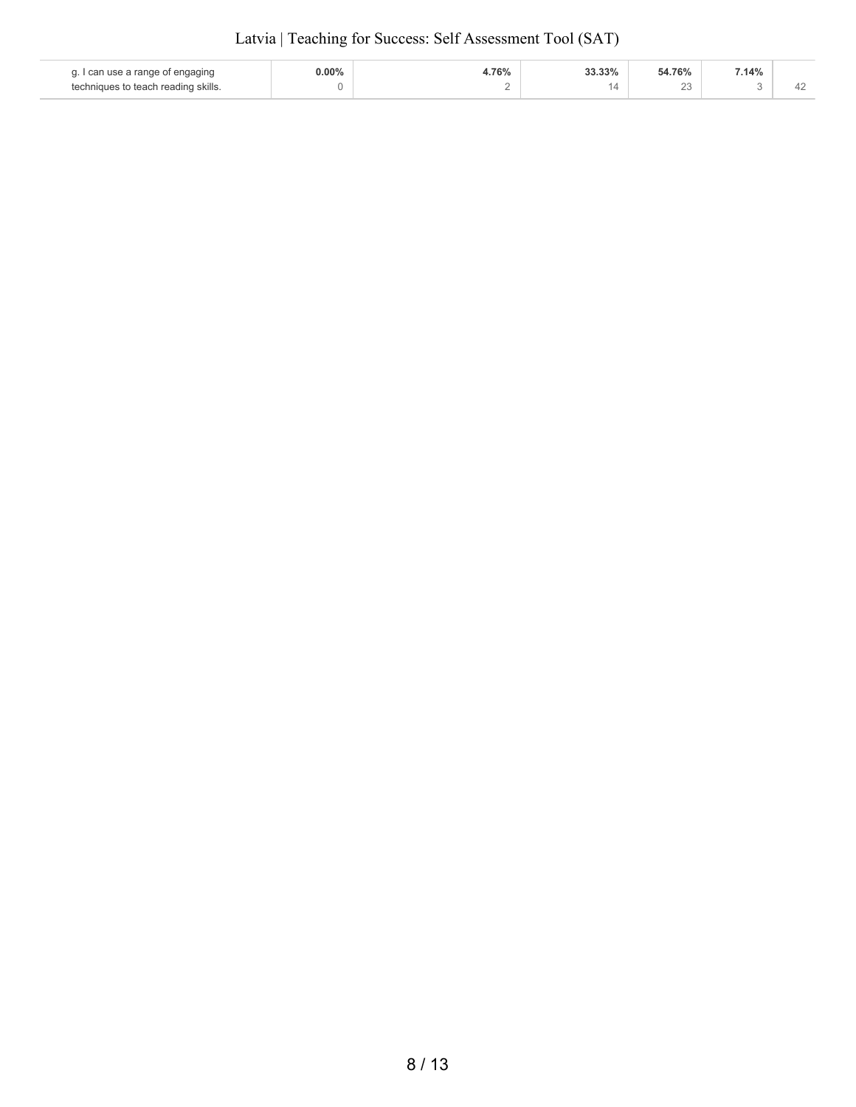|  | Latvia   Teaching for Success: Self Assessment Tool (SAT) |
|--|-----------------------------------------------------------|
|--|-----------------------------------------------------------|

| I can use a range of engaging       | $0.00\%$ | 76%    | 33.33% | 54.76%       | 7.14% |  |
|-------------------------------------|----------|--------|--------|--------------|-------|--|
| techniques to teach reading skills. |          | $\sim$ |        | $\sim$<br>∠∪ |       |  |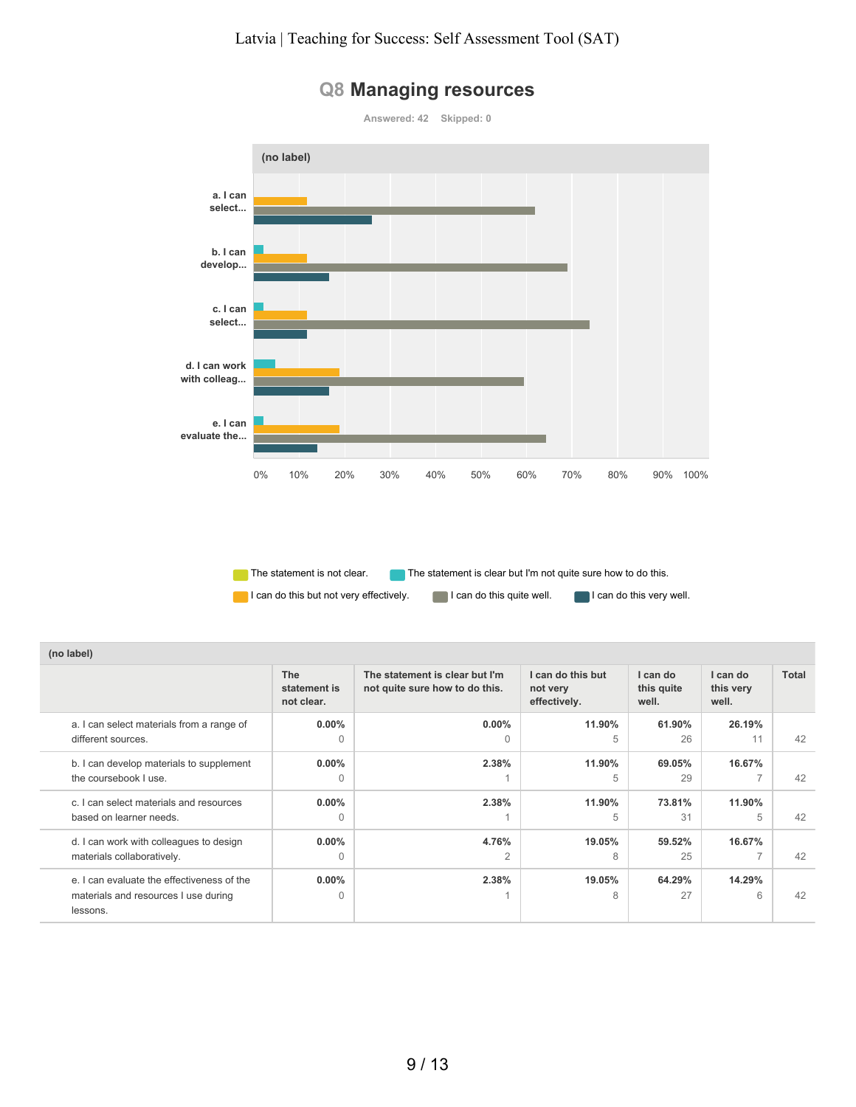

#### **Q8 Managing resources**

The statement is not clear. The statement is clear but I'm not quite sure how to do this.

| (no label)                                                                                     |                                          |                                                                  |                                               |                                 |                                |       |
|------------------------------------------------------------------------------------------------|------------------------------------------|------------------------------------------------------------------|-----------------------------------------------|---------------------------------|--------------------------------|-------|
|                                                                                                | <b>The</b><br>statement is<br>not clear. | The statement is clear but I'm<br>not quite sure how to do this. | I can do this but<br>not very<br>effectively. | I can do<br>this quite<br>well. | I can do<br>this very<br>well. | Total |
| a. I can select materials from a range of<br>different sources.                                | $0.00\%$<br>$\Omega$                     | $0.00\%$<br>$\Omega$                                             | 11.90%<br>5                                   | 61.90%<br>26                    | 26.19%<br>11                   | 42    |
| b. I can develop materials to supplement<br>the coursebook I use.                              | $0.00\%$<br>$\Omega$                     | 2.38%                                                            | 11.90%<br>5                                   | 69.05%<br>29                    | 16.67%                         | 42    |
| c. I can select materials and resources<br>based on learner needs.                             | $0.00\%$<br>$\Omega$                     | 2.38%                                                            | 11.90%<br>5                                   | 73.81%<br>31                    | 11.90%<br>5                    | 42    |
| d. I can work with colleagues to design<br>materials collaboratively.                          | $0.00\%$<br>$\Omega$                     | 4.76%<br>$\overline{2}$                                          | 19.05%<br>8                                   | 59.52%<br>25                    | 16.67%                         | 42    |
| e. I can evaluate the effectiveness of the<br>materials and resources I use during<br>lessons. | $0.00\%$<br>$\Omega$                     | 2.38%                                                            | 19.05%<br>8                                   | 64.29%<br>27                    | 14.29%<br>6                    | 42    |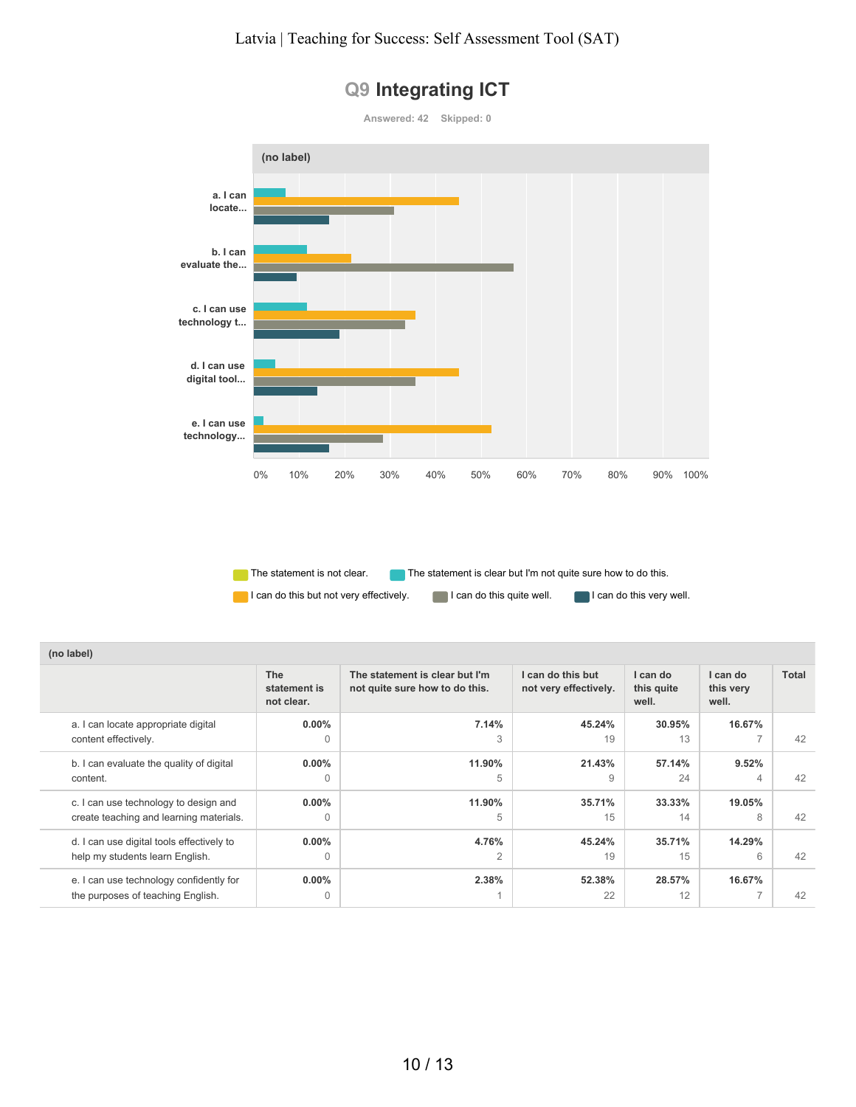

# **Q9 Integrating ICT**

The statement is not clear. The statement is clear but I'm not quite sure how to do this.

| (no label)                                                                   |                                          |                                                                  |                                            |                                 |                                |              |
|------------------------------------------------------------------------------|------------------------------------------|------------------------------------------------------------------|--------------------------------------------|---------------------------------|--------------------------------|--------------|
|                                                                              | <b>The</b><br>statement is<br>not clear. | The statement is clear but I'm<br>not quite sure how to do this. | I can do this but<br>not very effectively. | I can do<br>this quite<br>well. | I can do<br>this very<br>well. | <b>Total</b> |
| a. I can locate appropriate digital                                          | $0.00\%$                                 | 7.14%                                                            | 45.24%                                     | 30.95%                          | 16.67%                         | 42           |
| content effectively.                                                         | $\Omega$                                 | 3                                                                | 19                                         | 13                              | $\overline{ }$                 |              |
| b. I can evaluate the quality of digital                                     | $0.00\%$                                 | 11.90%                                                           | 21.43%                                     | 57.14%                          | 9.52%                          | 42           |
| content.                                                                     | $\bigcap$                                | 5                                                                | 9                                          | 24                              | 4                              |              |
| c. I can use technology to design and                                        | $0.00\%$                                 | 11.90%                                                           | 35.71%                                     | 33.33%                          | 19.05%                         | 42           |
| create teaching and learning materials.                                      | $\Omega$                                 | 5                                                                | 15                                         | 14                              | 8                              |              |
| d. I can use digital tools effectively to                                    | $0.00\%$                                 | 4.76%                                                            | 45.24%                                     | 35.71%                          | 14.29%                         | 42           |
| help my students learn English.                                              | $\Omega$                                 | $\overline{2}$                                                   | 19                                         | 15                              | 6                              |              |
| e. I can use technology confidently for<br>the purposes of teaching English. | $0.00\%$<br>$\Omega$                     | 2.38%                                                            | 52.38%<br>22                               | 28.57%<br>12                    | 16.67%                         | 42           |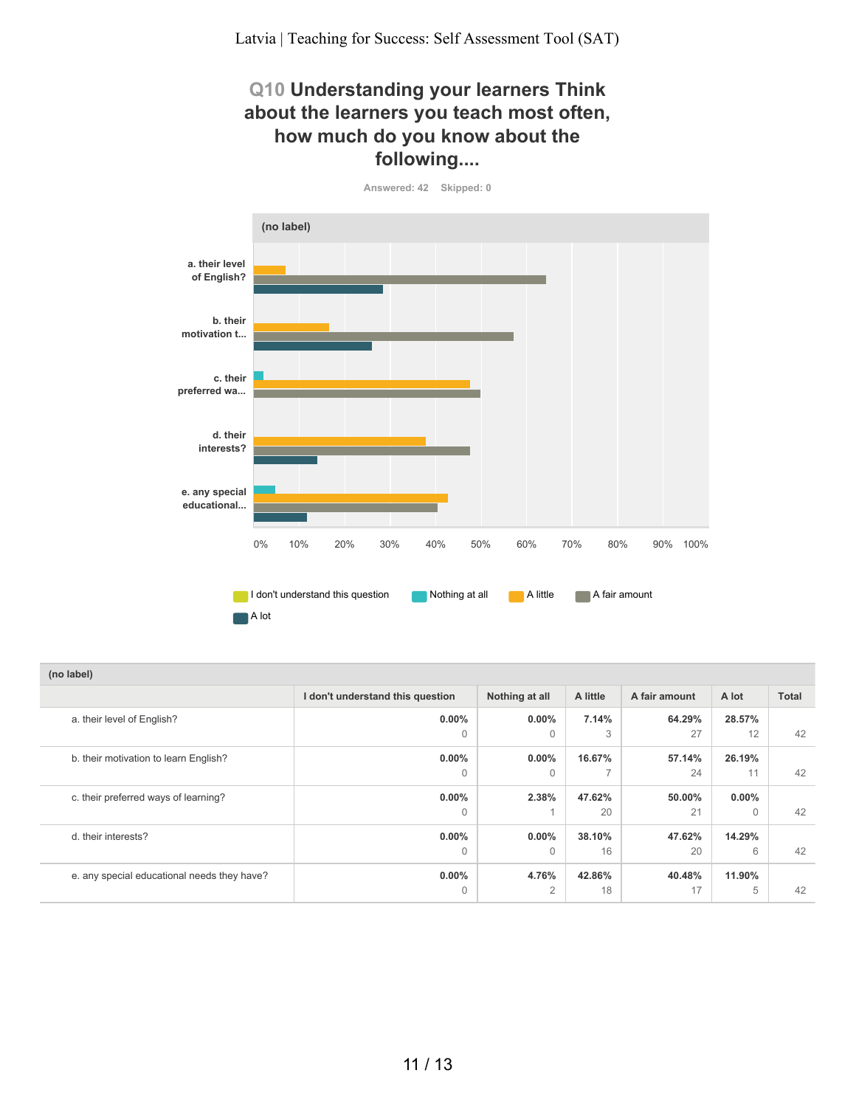#### **Q10 Understanding your learners Think about the learners you teach most often, how much do you know about the following....**

**Answered: 42 Skipped: 0**



| (no label)                                  |                                  |                |          |               |          |              |
|---------------------------------------------|----------------------------------|----------------|----------|---------------|----------|--------------|
|                                             | I don't understand this question | Nothing at all | A little | A fair amount | A lot    | <b>Total</b> |
| a. their level of English?                  | $0.00\%$                         | $0.00\%$       | 7.14%    | 64.29%        | 28.57%   |              |
|                                             | $\Omega$                         | $\Omega$       | 3        | 27            | 12       | 42           |
| b. their motivation to learn English?       | $0.00\%$                         | $0.00\%$       | 16.67%   | 57.14%        | 26.19%   |              |
|                                             | $\Omega$                         | $\Omega$       |          | 24            | 11       | 42           |
| c. their preferred ways of learning?        | $0.00\%$                         | 2.38%          | 47.62%   | 50.00%        | $0.00\%$ |              |
|                                             | $\Omega$                         |                | 20       | 21            | $\Omega$ |              |
| d. their interests?                         | $0.00\%$                         | $0.00\%$       | 38.10%   | 47.62%        | 14.29%   |              |
|                                             | $\Omega$                         | $\Omega$       | 16       | 20            | 6        |              |
| e. any special educational needs they have? | $0.00\%$                         | 4.76%          | 42.86%   | 40.48%        | 11.90%   |              |
|                                             | $\Omega$                         | $\overline{2}$ | 18       | 17            | 5        |              |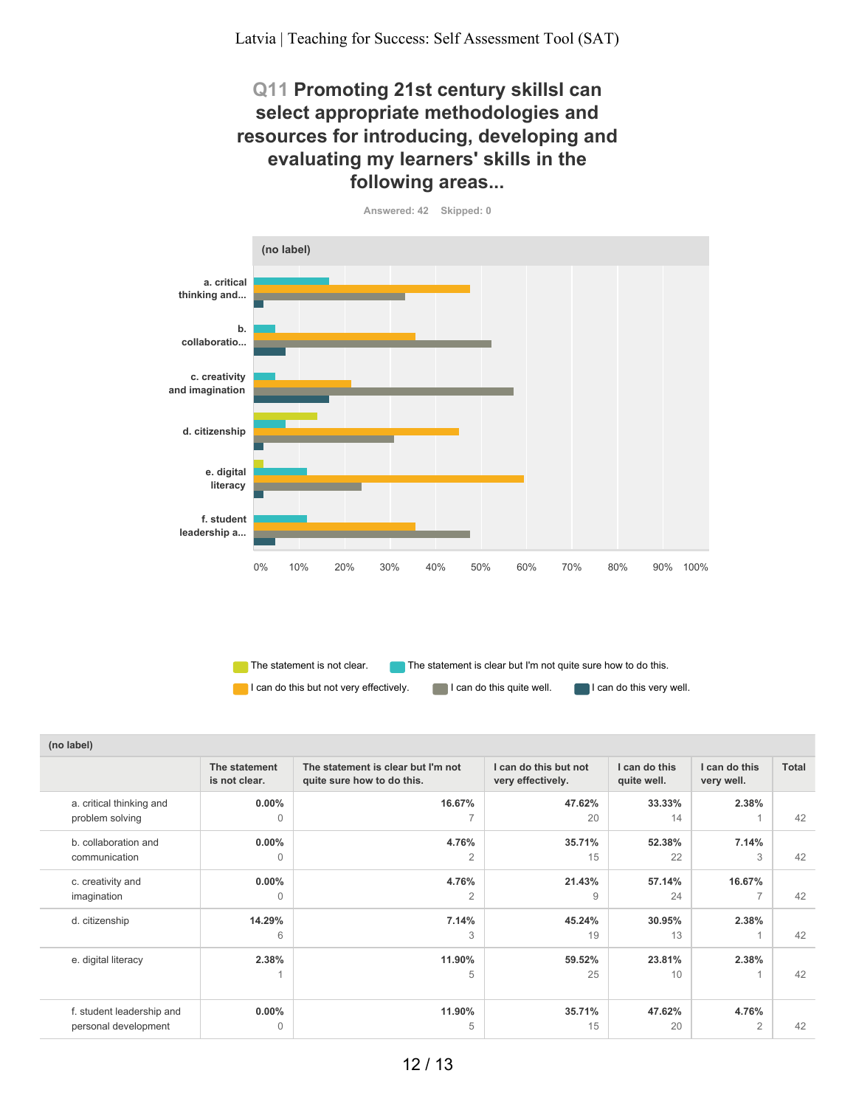#### **Q11 Promoting 21st century skillsI can select appropriate methodologies and resources for introducing, developing and evaluating my learners' skills in the following areas...**



**Answered: 42 Skipped: 0**

The statement is not clear. The statement is clear but I'm not quite sure how to do this.

| (no label)                                        |                                |                                                                  |                                            |                              |                             |       |  |  |
|---------------------------------------------------|--------------------------------|------------------------------------------------------------------|--------------------------------------------|------------------------------|-----------------------------|-------|--|--|
|                                                   | The statement<br>is not clear. | The statement is clear but I'm not<br>quite sure how to do this. | I can do this but not<br>very effectively. | I can do this<br>quite well. | I can do this<br>very well. | Total |  |  |
| a. critical thinking and<br>problem solving       | $0.00\%$<br>0                  | 16.67%                                                           | 47.62%<br>20                               | 33.33%<br>14                 | 2.38%                       | 42    |  |  |
| b. collaboration and<br>communication             | $0.00\%$<br>$\Omega$           | 4.76%<br>2                                                       | 35.71%<br>15                               | 52.38%<br>22                 | 7.14%<br>3                  | 42    |  |  |
| c. creativity and<br>imagination                  | $0.00\%$<br>$\Omega$           | 4.76%<br>$\overline{2}$                                          | 21.43%<br>9                                | 57.14%<br>24                 | 16.67%<br>$\overline{ }$    | 42    |  |  |
| d. citizenship                                    | 14.29%<br>6                    | 7.14%<br>3                                                       | 45.24%<br>19                               | 30.95%<br>13                 | 2.38%                       | 42    |  |  |
| e. digital literacy                               | 2.38%                          | 11.90%<br>5                                                      | 59.52%<br>25                               | 23.81%<br>10                 | 2.38%                       | 42    |  |  |
| f. student leadership and<br>personal development | $0.00\%$<br>0                  | 11.90%<br>5                                                      | 35.71%<br>15                               | 47.62%<br>20                 | 4.76%<br>$\overline{2}$     | 42    |  |  |